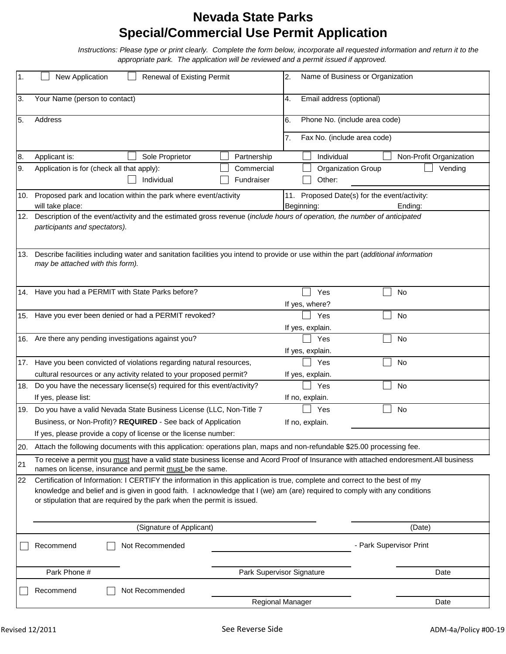## **Nevada State Parks Special/Commercial Use Permit Application**

 *Instructions: Please type or print clearly. Complete the form below, incorporate all requested information and return it to the appropriate park. The application will be reviewed and a permit issued if approved.*

| 1.                                                                                                                         | New Application<br><b>Renewal of Existing Permit</b>                                                                                                                                              | Name of Business or Organization<br>2.                                |
|----------------------------------------------------------------------------------------------------------------------------|---------------------------------------------------------------------------------------------------------------------------------------------------------------------------------------------------|-----------------------------------------------------------------------|
| 3.                                                                                                                         | Your Name (person to contact)                                                                                                                                                                     | Email address (optional)<br>4.                                        |
| 5.                                                                                                                         | Address                                                                                                                                                                                           | Phone No. (include area code)<br>6.                                   |
|                                                                                                                            |                                                                                                                                                                                                   | Fax No. (include area code)<br>7.                                     |
| 8.                                                                                                                         | Sole Proprietor<br>Partnership<br>Applicant is:                                                                                                                                                   | Individual<br>Non-Profit Organization                                 |
| Ι9.                                                                                                                        | Application is for (check all that apply):<br>Commercial<br>Individual<br>Fundraiser                                                                                                              | Organization Group<br>Vending<br>Other:                               |
|                                                                                                                            |                                                                                                                                                                                                   |                                                                       |
| 10.                                                                                                                        | Proposed park and location within the park where event/activity<br>will take place:                                                                                                               | 11. Proposed Date(s) for the event/activity:<br>Beginning:<br>Ending: |
| 12.                                                                                                                        | Description of the event/activity and the estimated gross revenue (include hours of operation, the number of anticipated                                                                          |                                                                       |
|                                                                                                                            | participants and spectators).                                                                                                                                                                     |                                                                       |
|                                                                                                                            |                                                                                                                                                                                                   |                                                                       |
|                                                                                                                            | Describe facilities including water and sanitation facilities you intend to provide or use within the part (additional information<br>13.                                                         |                                                                       |
| may be attached with this form).                                                                                           |                                                                                                                                                                                                   |                                                                       |
|                                                                                                                            |                                                                                                                                                                                                   |                                                                       |
|                                                                                                                            | 14. Have you had a PERMIT with State Parks before?                                                                                                                                                | Yes<br>No                                                             |
|                                                                                                                            |                                                                                                                                                                                                   | If yes, where?                                                        |
|                                                                                                                            | 15. Have you ever been denied or had a PERMIT revoked?                                                                                                                                            | Yes<br>No                                                             |
|                                                                                                                            |                                                                                                                                                                                                   | If yes, explain.                                                      |
|                                                                                                                            | 16. Are there any pending investigations against you?                                                                                                                                             | Yes<br>No                                                             |
|                                                                                                                            |                                                                                                                                                                                                   | If yes, explain.                                                      |
|                                                                                                                            | 17. Have you been convicted of violations regarding natural resources,                                                                                                                            | No<br>Yes                                                             |
|                                                                                                                            | cultural resources or any activity related to your proposed permit?                                                                                                                               | If yes, explain.                                                      |
| 18.                                                                                                                        | Do you have the necessary license(s) required for this event/activity?                                                                                                                            | Yes<br>No                                                             |
|                                                                                                                            | If yes, please list:                                                                                                                                                                              | If no, explain.                                                       |
| 19.                                                                                                                        | Do you have a valid Nevada State Business License (LLC, Non-Title 7                                                                                                                               | No<br>Yes                                                             |
|                                                                                                                            | Business, or Non-Profit)? REQUIRED - See back of Application                                                                                                                                      | If no, explain.                                                       |
|                                                                                                                            | If yes, please provide a copy of license or the license number:                                                                                                                                   |                                                                       |
| 20.                                                                                                                        | Attach the following documents with this application: operations plan, maps and non-refundable \$25.00 processing fee.                                                                            |                                                                       |
| 21                                                                                                                         | To receive a permit you must have a valid state business license and Acord Proof of Insurance with attached endoresment. All business<br>names on license, insurance and permit must be the same. |                                                                       |
| 22                                                                                                                         | Certification of Information: I CERTIFY the information in this application is true, complete and correct to the best of my                                                                       |                                                                       |
| knowledge and belief and is given in good faith. I acknowledge that I (we) am (are) required to comply with any conditions |                                                                                                                                                                                                   |                                                                       |
|                                                                                                                            | or stipulation that are required by the park when the permit is issued.                                                                                                                           |                                                                       |
|                                                                                                                            |                                                                                                                                                                                                   |                                                                       |
|                                                                                                                            | (Signature of Applicant)                                                                                                                                                                          | (Date)                                                                |
|                                                                                                                            | Not Recommended<br>Recommend                                                                                                                                                                      | - Park Supervisor Print                                               |
|                                                                                                                            |                                                                                                                                                                                                   |                                                                       |
|                                                                                                                            |                                                                                                                                                                                                   |                                                                       |
|                                                                                                                            | Park Phone #                                                                                                                                                                                      | Park Supervisor Signature<br>Date                                     |
|                                                                                                                            | Not Recommended<br>Recommend                                                                                                                                                                      |                                                                       |
|                                                                                                                            |                                                                                                                                                                                                   | Regional Manager<br>Date                                              |